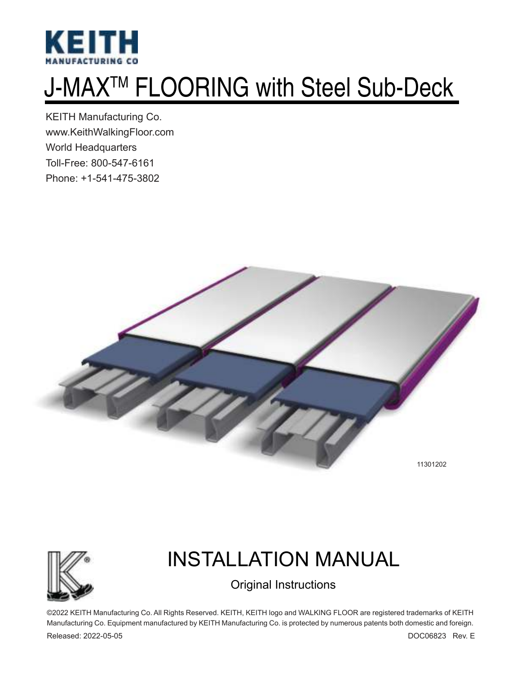

# J-MAXTM FLOORING with Steel Sub-Deck

KEITH Manufacturing Co. www.KeithWalkingFloor.com World Headquarters Toll-Free: 800-547-6161 Phone: +1-541-475-3802





## INSTALLATION MANUAL

Original Instructions

©2022 KEITH Manufacturing Co. All Rights Reserved. KEITH, KEITH logo and WALKING FLOOR are registered trademarks of KEITH Manufacturing Co. Equipment manufactured by KEITH Manufacturing Co. is protected by numerous patents both domestic and foreign.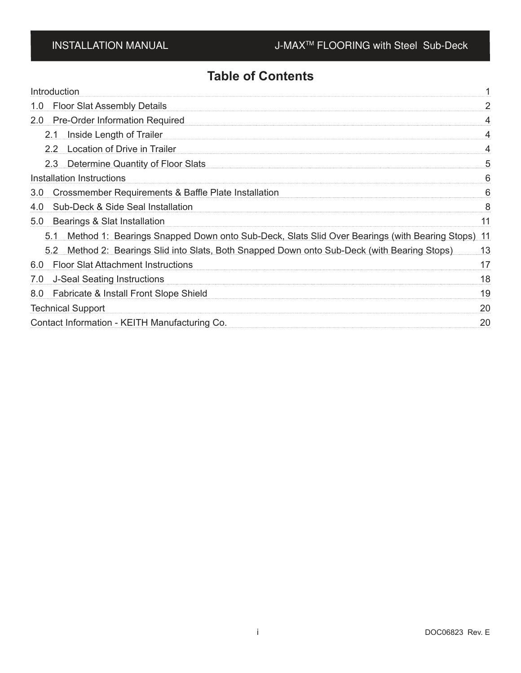### **Table of Contents**

| Introduction                                                                                        |    |
|-----------------------------------------------------------------------------------------------------|----|
| <b>Floor Slat Assembly Details</b><br>1.0                                                           |    |
| <b>Pre-Order Information Required</b><br>2.0 <sub>2</sub>                                           |    |
| 2.1 Inside Length of Trailer                                                                        |    |
| 2.2 Location of Drive in Trailer                                                                    |    |
| 2.3 Determine Quantity of Floor Slats                                                               | 5  |
| Installation Instructions                                                                           |    |
| Crossmember Requirements & Baffle Plate Installation<br>3.0                                         | h  |
| Sub-Deck & Side Seal Installation<br>4.0                                                            | 8  |
| 5.0<br>Bearings & Slat Installation                                                                 | 11 |
| 5.1 Method 1: Bearings Snapped Down onto Sub-Deck, Slats Slid Over Bearings (with Bearing Stops) 11 |    |
| 5.2 Method 2: Bearings Slid into Slats, Both Snapped Down onto Sub-Deck (with Bearing Stops)        | 13 |
| 6.0 Floor Slat Attachment Instructions                                                              | 17 |
| <b>J-Seal Seating Instructions</b><br>7.0                                                           | 18 |
| Fabricate & Install Front Slope Shield<br>8.0                                                       | 19 |
| <b>Technical Support</b>                                                                            | 20 |
| Contact Information - KEITH Manufacturing Co.                                                       | 20 |
|                                                                                                     |    |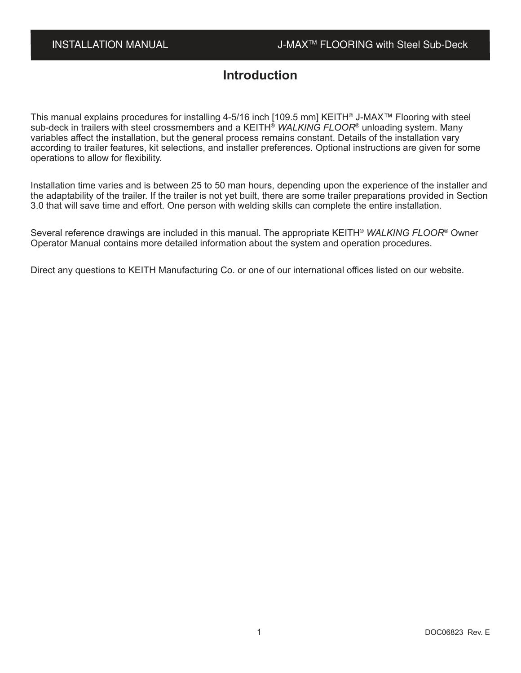### **Introduction**

This manual explains procedures for installing 4-5/16 inch [109.5 mm] KEITH® J-MAX™ Flooring with steel sub-deck in trailers with steel crossmembers and a KEITH® *WALKING FLOOR*® unloading system. Many variables affect the installation, but the general process remains constant. Details of the installation vary according to trailer features, kit selections, and installer preferences. Optional instructions are given for some operations to allow for flexibility.

Installation time varies and is between 25 to 50 man hours, depending upon the experience of the installer and the adaptability of the trailer. If the trailer is not yet built, there are some trailer preparations provided in Section 3.0 that will save time and effort. One person with welding skills can complete the entire installation.

Several reference drawings are included in this manual. The appropriate KEITH® *WALKING FLOOR*® Owner Operator Manual contains more detailed information about the system and operation procedures.

Direct any questions to KEITH Manufacturing Co. or one of our international offices listed on our website.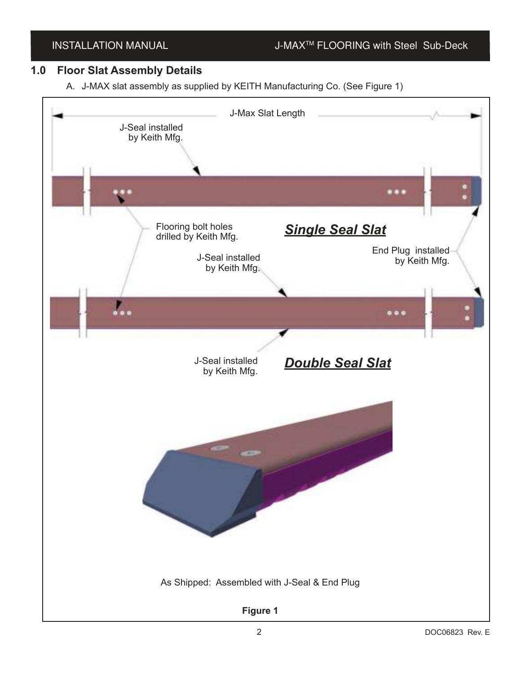### INSTALLATION MANUAL J-MAX<sup>™</sup> FLOORING with Steel Sub-Deck

### **1.0 Floor Slat Assembly Details**

A. J-MAX slat assembly as supplied by KEITH Manufacturing Co. (See Figure 1)

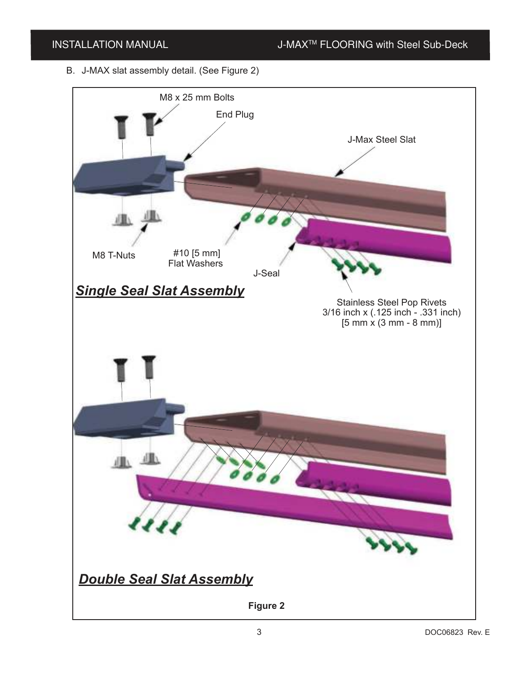B. J-MAX slat assembly detail. (See Figure 2)

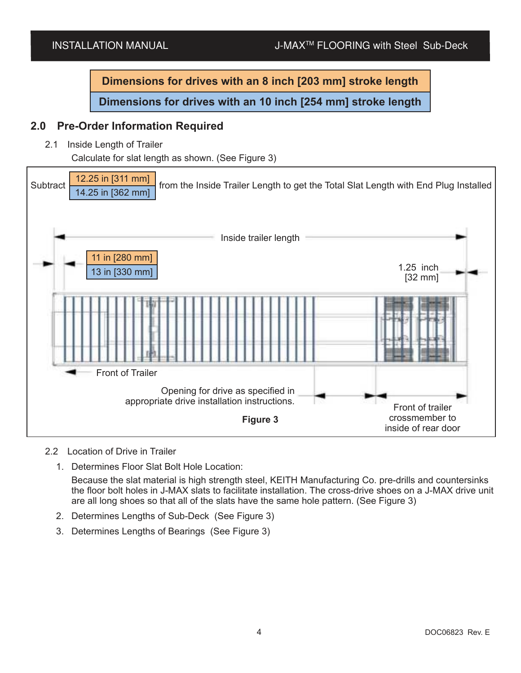**Dimensions for drives with an 8 inch [203 mm] stroke length Dimensions for drives with an 10 inch [254 mm] stroke length**

### **2.0 Pre-Order Information Required**

2.1 Inside Length of Trailer

Calculate for slat length as shown. (See Figure 3)



### 2.2 Location of Drive in Trailer

1. Determines Floor Slat Bolt Hole Location:

Because the slat material is high strength steel, KEITH Manufacturing Co. pre-drills and countersinks the floor bolt holes in J-MAX slats to facilitate installation. The cross-drive shoes on a J-MAX drive unit are all long shoes so that all of the slats have the same hole pattern. (See Figure 3)

- 2. Determines Lengths of Sub-Deck (See Figure 3)
- 3. Determines Lengths of Bearings (See Figure 3)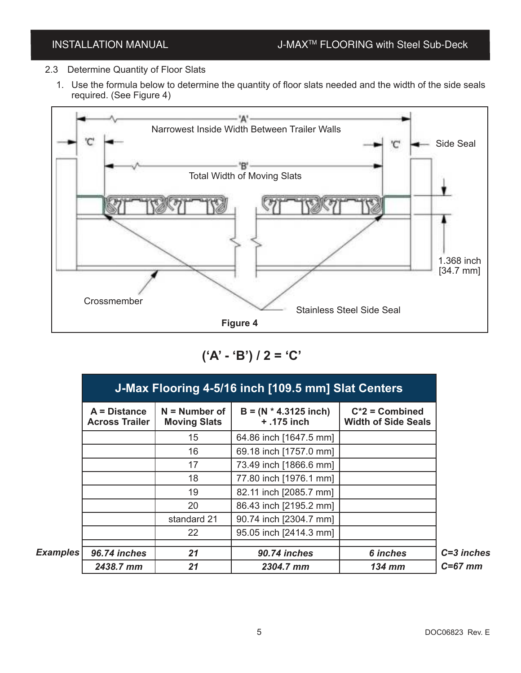- 2.3 Determine Quantity of Floor Slats
	- 1. Use the formula below to determine the quantity of floor slats needed and the width of the side seals required. (See Figure 4)



**('A' - 'B') / 2 = 'C'**

|          | J-Max Flooring 4-5/16 inch [109.5 mm] Slat Centers |                                        |                                          |                                                 |  |  |
|----------|----------------------------------------------------|----------------------------------------|------------------------------------------|-------------------------------------------------|--|--|
|          | $A = Distance$<br><b>Across Trailer</b>            | $N =$ Number of<br><b>Moving Slats</b> | $B = (N * 4.3125$ inch)<br>$+ .175$ inch | $C^*2$ = Combined<br><b>Width of Side Seals</b> |  |  |
|          |                                                    | 15                                     | 64.86 inch [1647.5 mm]                   |                                                 |  |  |
|          |                                                    | 16                                     | 69.18 inch [1757.0 mm]                   |                                                 |  |  |
|          |                                                    | 17                                     | 73.49 inch [1866.6 mm]                   |                                                 |  |  |
|          |                                                    | 18                                     | 77.80 inch [1976.1 mm]                   |                                                 |  |  |
|          |                                                    | 19                                     | 82.11 inch [2085.7 mm]                   |                                                 |  |  |
|          |                                                    | 20                                     | 86.43 inch [2195.2 mm]                   |                                                 |  |  |
|          |                                                    | standard 21                            | 90.74 inch [2304.7 mm]                   |                                                 |  |  |
|          |                                                    | 22                                     | 95.05 inch [2414.3 mm]                   |                                                 |  |  |
| Examples | 96.74 inches                                       | 21                                     | 90.74 inches                             | 6 inches                                        |  |  |
|          | 2438.7 mm                                          | 21                                     | 2304.7 mm                                | <b>134 mm</b>                                   |  |  |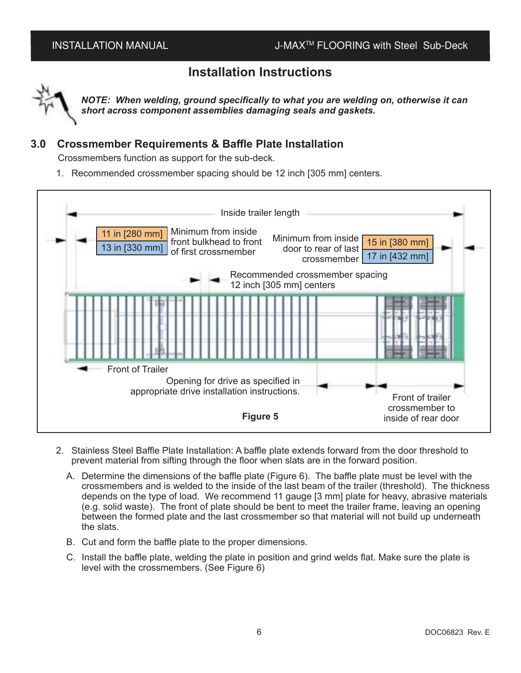### **Installation Instructions**



*NOTE: When welding, ground specifically to what you are welding on, otherwise it can short across component assemblies damaging seals and gaskets.*

### **3.0 Crossmember Requirements & Baffle Plate Installation**

Crossmembers function as support for the sub-deck.

1. Recommended crossmember spacing should be 12 inch [305 mm] centers.



- 2. Stainless Steel Baffle Plate Installation: A baffle plate extends forward from the door threshold to prevent material from sifting through the floor when slats are in the forward position.
	- A. Determine the dimensions of the baffle plate (Figure 6). The baffle plate must be level with the crossmembers and is welded to the inside of the last beam of the trailer (threshold). The thickness depends on the type of load. We recommend 11 gauge [3 mm] plate for heavy, abrasive materials (e.g. solid waste). The front of plate should be bent to meet the trailer frame, leaving an opening between the formed plate and the last crossmember so that material will not build up underneath the slats.
	- B. Cut and form the baffle plate to the proper dimensions.
	- C. Install the baffle plate, welding the plate in position and grind welds flat. Make sure the plate is level with the crossmembers. (See Figure 6)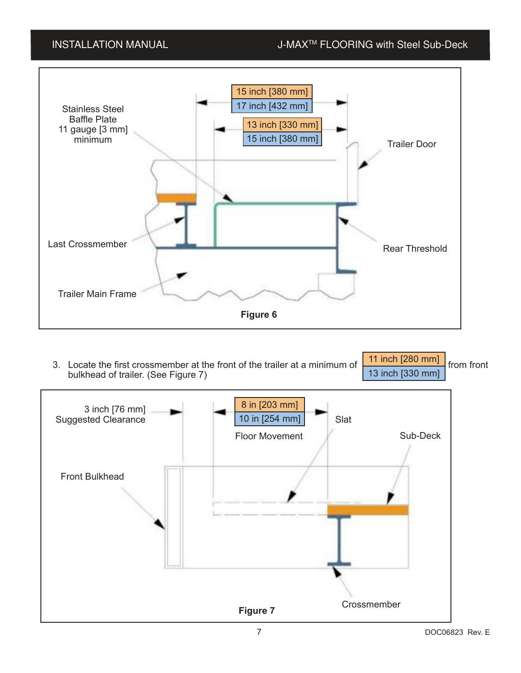

3. Locate the first crossmember at the front of the trailer at a minimum of  $\Box$  Figure 1.1 Finch 1.400 mm bulkhead of trailer. (See Figure 7) 11 inch [280 mm] 13 inch [330 mm]

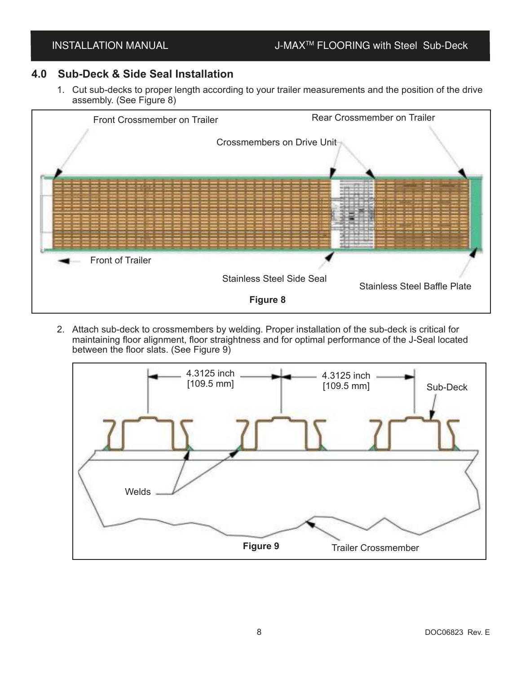### **4.0 Sub-Deck & Side Seal Installation**

1. Cut sub-decks to proper length according to your trailer measurements and the position of the drive assembly. (See Figure 8)



2. Attach sub-deck to crossmembers by welding. Proper installation of the sub-deck is critical for maintaining floor alignment, floor straightness and for optimal performance of the J-Seal located between the floor slats. (See Figure 9)

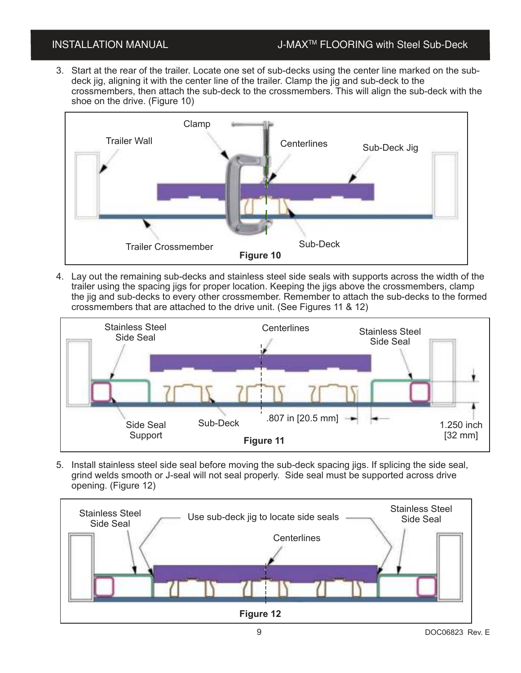3. Start at the rear of the trailer. Locate one set of sub-decks using the center line marked on the subdeck jig, aligning it with the center line of the trailer. Clamp the jig and sub-deck to the crossmembers, then attach the sub-deck to the crossmembers. This will align the sub-deck with the shoe on the drive. (Figure 10)



4. Lay out the remaining sub-decks and stainless steel side seals with supports across the width of the trailer using the spacing jigs for proper location. Keeping the jigs above the crossmembers, clamp the jig and sub-decks to every other crossmember. Remember to attach the sub-decks to the formed crossmembers that are attached to the drive unit. (See Figures 11 & 12)



5. Install stainless steel side seal before moving the sub-deck spacing jigs. If splicing the side seal, grind welds smooth or J-seal will not seal properly. Side seal must be supported across drive opening. (Figure 12)

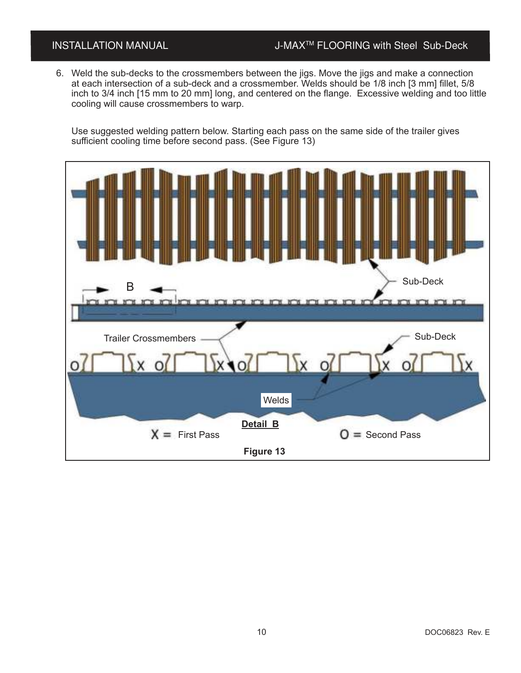### INSTALLATION MANUAL J-MAX<sup>™</sup> FLOORING with Steel Sub-Deck

6. Weld the sub-decks to the crossmembers between the jigs. Move the jigs and make a connection at each intersection of a sub-deck and a crossmember. Welds should be 1/8 inch [3 mm] fillet, 5/8 inch to 3/4 inch [15 mm to 20 mm] long, and centered on the flange. Excessive welding and too little cooling will cause crossmembers to warp.

Use suggested welding pattern below. Starting each pass on the same side of the trailer gives sufficient cooling time before second pass. (See Figure 13)

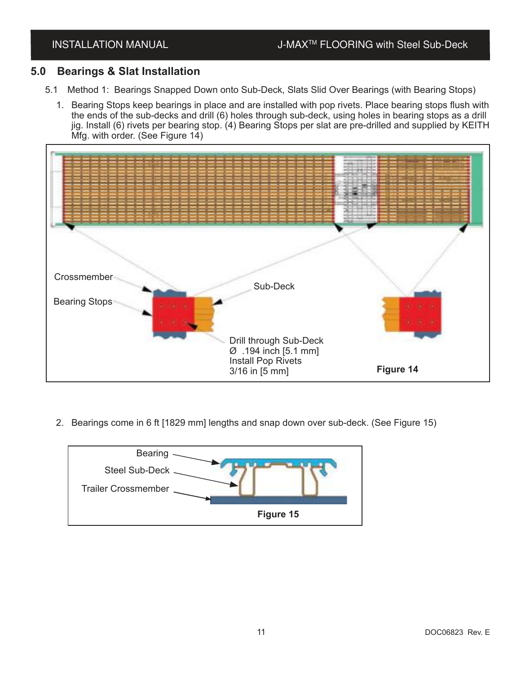### **5.0 Bearings & Slat Installation**

- 5.1 Method 1: Bearings Snapped Down onto Sub-Deck, Slats Slid Over Bearings (with Bearing Stops)
	- 1. Bearing Stops keep bearings in place and are installed with pop rivets. Place bearing stops flush with the ends of the sub-decks and drill (6) holes through sub-deck, using holes in bearing stops as a drill jig. Install (6) rivets per bearing stop. (4) Bearing Stops per slat are pre-drilled and supplied by KEITH Mfg. with order. (See Figure 14)



2. Bearings come in 6 ft [1829 mm] lengths and snap down over sub-deck. (See Figure 15)

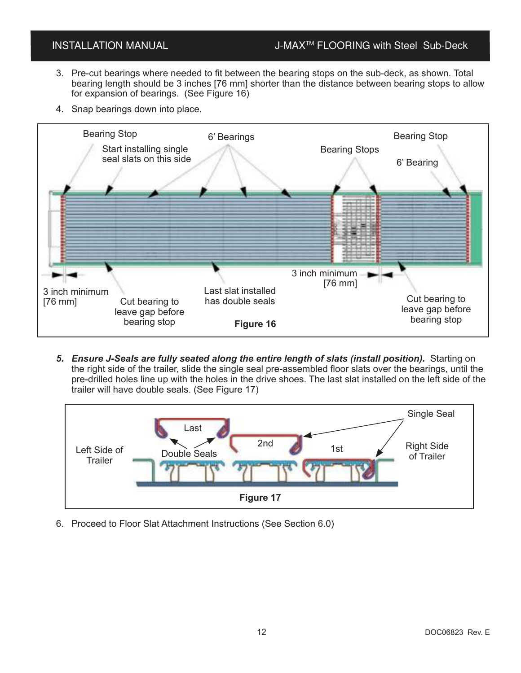### INSTALLATION MANUAL J-MAX<sup>™</sup> FLOORING with Steel Sub-Deck

- 3. Pre-cut bearings where needed to fit between the bearing stops on the sub-deck, as shown. Total bearing length should be 3 inches [76 mm] shorter than the distance between bearing stops to allow for expansion of bearings. (See Figure 16)
- 4. Snap bearings down into place.



*5. Ensure J-Seals are fully seated along the entire length of slats (install position).* Starting on the right side of the trailer, slide the single seal pre-assembled floor slats over the bearings, until the pre-drilled holes line up with the holes in the drive shoes. The last slat installed on the left side of the trailer will have double seals. (See Figure 17)



6. Proceed to Floor Slat Attachment Instructions (See Section 6.0)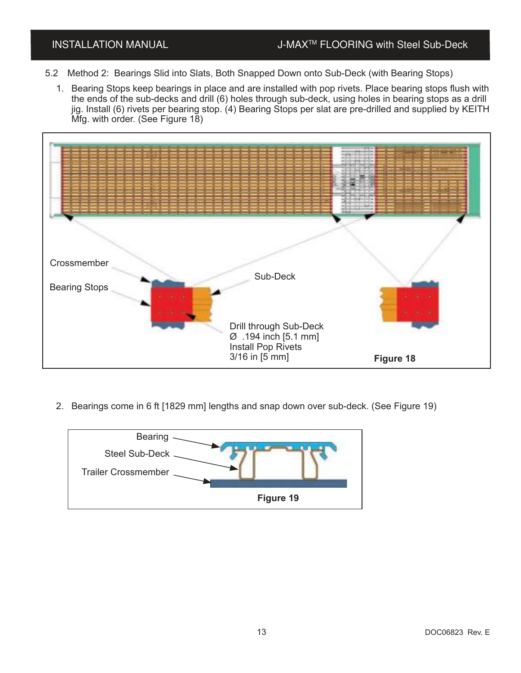- 5.2 Method 2: Bearings Slid into Slats, Both Snapped Down onto Sub-Deck (with Bearing Stops)
	- 1. Bearing Stops keep bearings in place and are installed with pop rivets. Place bearing stops flush with the ends of the sub-decks and drill (6) holes through sub-deck, using holes in bearing stops as a drill jig. Install (6) rivets per bearing stop. (4) Bearing Stops per slat are pre-drilled and supplied by KEITH Mfg. with order. (See Figure 18)



2. Bearings come in 6 ft [1829 mm] lengths and snap down over sub-deck. (See Figure 19)

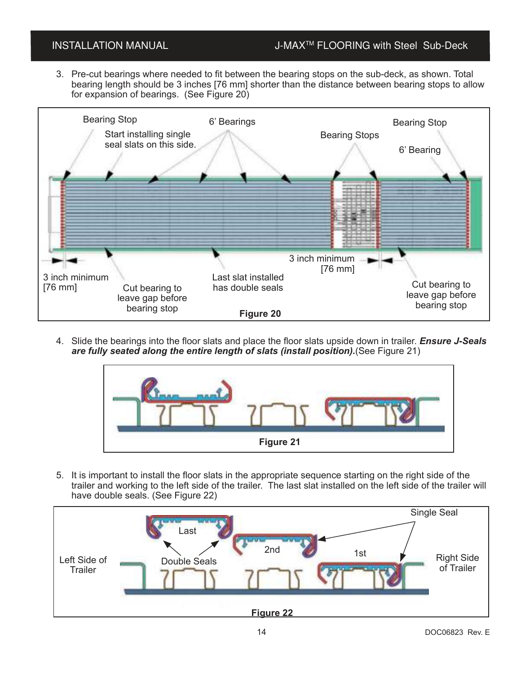### INSTALLATION MANUAL J-MAX<sup>™</sup> FLOORING with Steel Sub-Deck

3. Pre-cut bearings where needed to fit between the bearing stops on the sub-deck, as shown. Total bearing length should be 3 inches [76 mm] shorter than the distance between bearing stops to allow for expansion of bearings. (See Figure 20)



4. Slide the bearings into the floor slats and place the floor slats upside down in trailer. *Ensure J-Seals are fully seated along the entire length of slats (install position).*(See Figure 21)



5. It is important to install the floor slats in the appropriate sequence starting on the right side of the trailer and working to the left side of the trailer. The last slat installed on the left side of the trailer will have double seals. (See Figure 22)

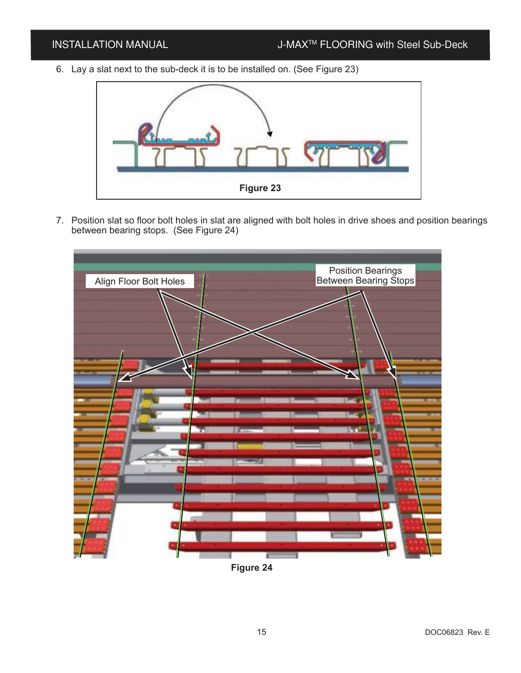6. Lay a slat next to the sub-deck it is to be installed on. (See Figure 23)



7. Position slat so floor bolt holes in slat are aligned with bolt holes in drive shoes and position bearings between bearing stops. (See Figure 24)



**Figure 24**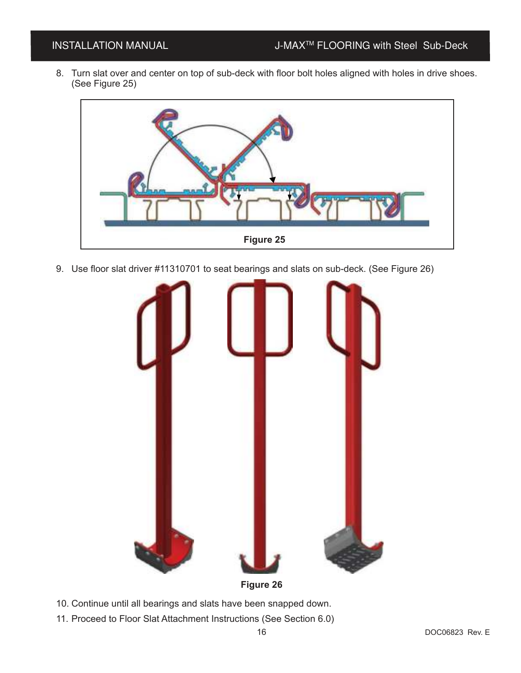8. Turn slat over and center on top of sub-deck with floor bolt holes aligned with holes in drive shoes. (See Figure 25)



9. Use floor slat driver #11310701 to seat bearings and slats on sub-deck. (See Figure 26)



- 10. Continue until all bearings and slats have been snapped down.
- 11. Proceed to Floor Slat Attachment Instructions (See Section 6.0)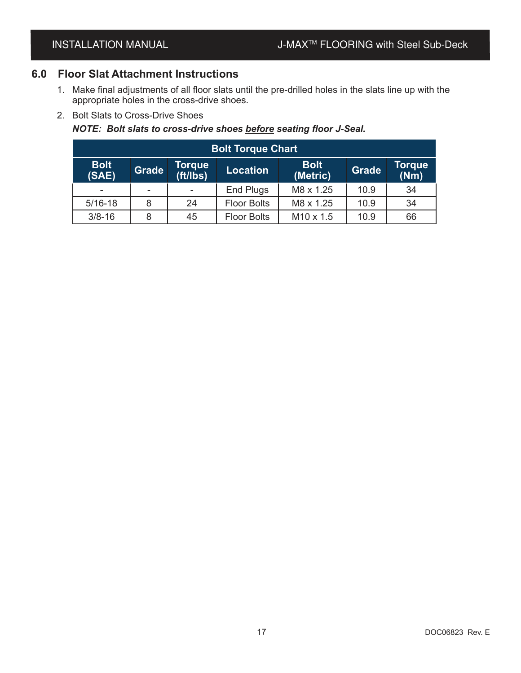### **6.0 Floor Slat Attachment Instructions**

- 1. Make final adjustments of all floor slats until the pre-drilled holes in the slats line up with the appropriate holes in the cross-drive shoes.
- 2. Bolt Slats to Cross-Drive Shoes

### *NOTE: Bolt slats to cross-drive shoes before seating floor J-Seal.*

| <b>Bolt Torque Chart</b> |              |                    |                    |                         |              |                       |  |  |  |
|--------------------------|--------------|--------------------|--------------------|-------------------------|--------------|-----------------------|--|--|--|
| <b>Bolt</b><br>(SAE)     | <b>Grade</b> | Torque<br>(tt/lbs) | <b>Location</b>    | <b>Bolt</b><br>(Metric) | <b>Grade</b> | <b>Torque</b><br>(Nm) |  |  |  |
| ۰                        |              |                    | End Plugs          | M8 x 1.25               | 10.9         | 34                    |  |  |  |
| $5/16-18$                | 8            | 24                 | <b>Floor Bolts</b> | M8 x 1.25               | 10.9         | 34                    |  |  |  |
| $3/8 - 16$               | 8            | 45                 | <b>Floor Bolts</b> | M <sub>10</sub> x 1.5   | 10.9         | 66                    |  |  |  |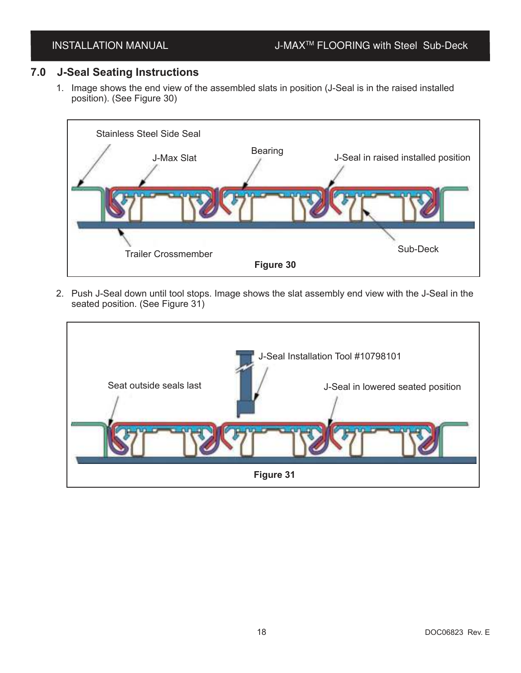### **7.0 J-Seal Seating Instructions**

1. Image shows the end view of the assembled slats in position (J-Seal is in the raised installed position). (See Figure 30)



2. Push J-Seal down until tool stops. Image shows the slat assembly end view with the J-Seal in the seated position. (See Figure 31)

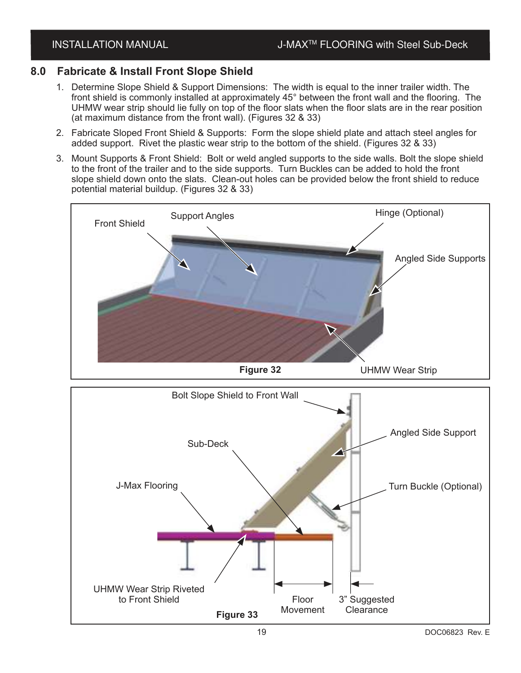### **8.0 Fabricate & Install Front Slope Shield**

- 1. Determine Slope Shield & Support Dimensions: The width is equal to the inner trailer width. The front shield is commonly installed at approximately 45° between the front wall and the flooring. The UHMW wear strip should lie fully on top of the floor slats when the floor slats are in the rear position (at maximum distance from the front wall). (Figures 32 & 33)
- 2. Fabricate Sloped Front Shield & Supports: Form the slope shield plate and attach steel angles for added support. Rivet the plastic wear strip to the bottom of the shield. (Figures 32 & 33)
- 3. Mount Supports & Front Shield: Bolt or weld angled supports to the side walls. Bolt the slope shield to the front of the trailer and to the side supports. Turn Buckles can be added to hold the front slope shield down onto the slats. Clean-out holes can be provided below the front shield to reduce potential material buildup. (Figures 32 & 33)